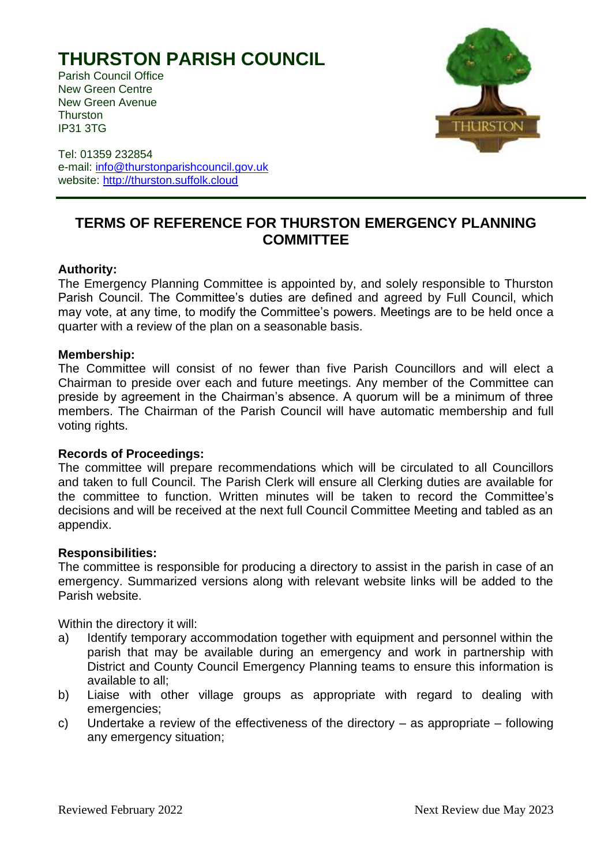# **THURSTON PARISH COUNCIL**

Parish Council Office New Green Centre New Green Avenue **Thurston** IP31 3TG



Tel: 01359 232854 e-mail: [info@thurstonparishcouncil.gov.uk](mailto:info@thurstonparishcouncil.gov.uk) website: [http://thurston.suffolk.cloud](http://thurston.suffolk.cloud/)

## **TERMS OF REFERENCE FOR THURSTON EMERGENCY PLANNING COMMITTEE**

### **Authority:**

The Emergency Planning Committee is appointed by, and solely responsible to Thurston Parish Council. The Committee's duties are defined and agreed by Full Council, which may vote, at any time, to modify the Committee's powers. Meetings are to be held once a quarter with a review of the plan on a seasonable basis.

#### **Membership:**

The Committee will consist of no fewer than five Parish Councillors and will elect a Chairman to preside over each and future meetings. Any member of the Committee can preside by agreement in the Chairman's absence. A quorum will be a minimum of three members. The Chairman of the Parish Council will have automatic membership and full voting rights.

#### **Records of Proceedings:**

The committee will prepare recommendations which will be circulated to all Councillors and taken to full Council. The Parish Clerk will ensure all Clerking duties are available for the committee to function. Written minutes will be taken to record the Committee's decisions and will be received at the next full Council Committee Meeting and tabled as an appendix.

#### **Responsibilities:**

The committee is responsible for producing a directory to assist in the parish in case of an emergency. Summarized versions along with relevant website links will be added to the Parish website.

Within the directory it will:

- a) Identify temporary accommodation together with equipment and personnel within the parish that may be available during an emergency and work in partnership with District and County Council Emergency Planning teams to ensure this information is available to all;
- b) Liaise with other village groups as appropriate with regard to dealing with emergencies;
- c) Undertake a review of the effectiveness of the directory as appropriate following any emergency situation;